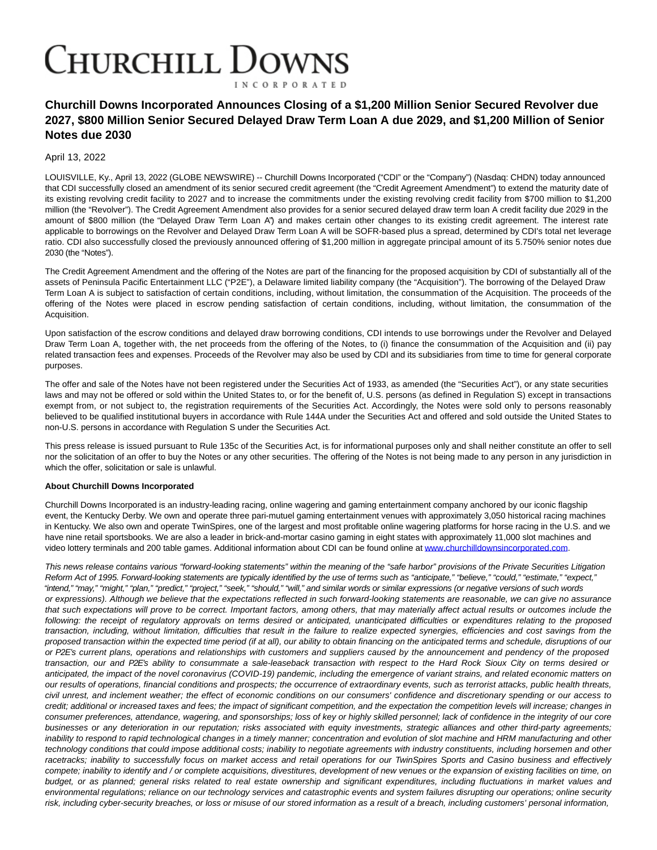## **CHURCHILL DOWNS INCORPORATED**

## **Churchill Downs Incorporated Announces Closing of a \$1,200 Million Senior Secured Revolver due 2027, \$800 Million Senior Secured Delayed Draw Term Loan A due 2029, and \$1,200 Million of Senior Notes due 2030**

## April 13, 2022

LOUISVILLE, Ky., April 13, 2022 (GLOBE NEWSWIRE) -- Churchill Downs Incorporated ("CDI" or the "Company") (Nasdaq: CHDN) today announced that CDI successfully closed an amendment of its senior secured credit agreement (the "Credit Agreement Amendment") to extend the maturity date of its existing revolving credit facility to 2027 and to increase the commitments under the existing revolving credit facility from \$700 million to \$1,200 million (the "Revolver"). The Credit Agreement Amendment also provides for a senior secured delayed draw term loan A credit facility due 2029 in the amount of \$800 million (the "Delayed Draw Term Loan A") and makes certain other changes to its existing credit agreement. The interest rate applicable to borrowings on the Revolver and Delayed Draw Term Loan A will be SOFR-based plus a spread, determined by CDI's total net leverage ratio. CDI also successfully closed the previously announced offering of \$1,200 million in aggregate principal amount of its 5.750% senior notes due 2030 (the "Notes").

The Credit Agreement Amendment and the offering of the Notes are part of the financing for the proposed acquisition by CDI of substantially all of the assets of Peninsula Pacific Entertainment LLC ("P2E"), a Delaware limited liability company (the "Acquisition"). The borrowing of the Delayed Draw Term Loan A is subject to satisfaction of certain conditions, including, without limitation, the consummation of the Acquisition. The proceeds of the offering of the Notes were placed in escrow pending satisfaction of certain conditions, including, without limitation, the consummation of the Acquisition.

Upon satisfaction of the escrow conditions and delayed draw borrowing conditions, CDI intends to use borrowings under the Revolver and Delayed Draw Term Loan A, together with, the net proceeds from the offering of the Notes, to (i) finance the consummation of the Acquisition and (ii) pay related transaction fees and expenses. Proceeds of the Revolver may also be used by CDI and its subsidiaries from time to time for general corporate purposes.

The offer and sale of the Notes have not been registered under the Securities Act of 1933, as amended (the "Securities Act"), or any state securities laws and may not be offered or sold within the United States to, or for the benefit of, U.S. persons (as defined in Regulation S) except in transactions exempt from, or not subject to, the registration requirements of the Securities Act. Accordingly, the Notes were sold only to persons reasonably believed to be qualified institutional buyers in accordance with Rule 144A under the Securities Act and offered and sold outside the United States to non-U.S. persons in accordance with Regulation S under the Securities Act.

This press release is issued pursuant to Rule 135c of the Securities Act, is for informational purposes only and shall neither constitute an offer to sell nor the solicitation of an offer to buy the Notes or any other securities. The offering of the Notes is not being made to any person in any jurisdiction in which the offer, solicitation or sale is unlawful.

## **About Churchill Downs Incorporated**

Churchill Downs Incorporated is an industry-leading racing, online wagering and gaming entertainment company anchored by our iconic flagship event, the Kentucky Derby. We own and operate three pari-mutuel gaming entertainment venues with approximately 3,050 historical racing machines in Kentucky. We also own and operate TwinSpires, one of the largest and most profitable online wagering platforms for horse racing in the U.S. and we have nine retail sportsbooks. We are also a leader in brick-and-mortar casino gaming in eight states with approximately 11,000 slot machines and video lottery terminals and 200 table games. Additional information about CDI can be found online a[t www.churchilldownsincorporated.com.](https://www.globenewswire.com/Tracker?data=LshelhjPxEJbLDEJEW5sZOMLKKadQaugMuagyfnylSN8lo5RgBEHo4sxh26LUm6QiXyzhsDwRI8jt9oxTN33FN3eHb0xyjYysDSvWEiKw2aM7cztdgWl0azq3MVJdnmOqupevp4kh1tsIjFFIuyV4A==)

This news release contains various "forward-looking statements" within the meaning of the "safe harbor" provisions of the Private Securities Litigation Reform Act of 1995. Forward-looking statements are typically identified by the use of terms such as "anticipate," "believe," "could," "estimate," "expect," "intend," "may," "might," "plan," "predict," "project," "seek," "should," "will," and similar words or similar expressions (or negative versions of such words or expressions). Although we believe that the expectations reflected in such forward-looking statements are reasonable, we can give no assurance that such expectations will prove to be correct. Important factors, among others, that may materially affect actual results or outcomes include the following: the receipt of regulatory approvals on terms desired or anticipated, unanticipated difficulties or expenditures relating to the proposed transaction, including, without limitation, difficulties that result in the failure to realize expected synergies, efficiencies and cost savings from the proposed transaction within the expected time period (if at all), our ability to obtain financing on the anticipated terms and schedule, disruptions of our or P2E's current plans, operations and relationships with customers and suppliers caused by the announcement and pendency of the proposed transaction, our and P2E's ability to consummate a sale-leaseback transaction with respect to the Hard Rock Sioux City on terms desired or anticipated, the impact of the novel coronavirus (COVID-19) pandemic, including the emergence of variant strains, and related economic matters on our results of operations, financial conditions and prospects; the occurrence of extraordinary events, such as terrorist attacks, public health threats, civil unrest, and inclement weather; the effect of economic conditions on our consumers' confidence and discretionary spending or our access to credit; additional or increased taxes and fees; the impact of significant competition, and the expectation the competition levels will increase; changes in consumer preferences, attendance, wagering, and sponsorships; loss of key or highly skilled personnel; lack of confidence in the integrity of our core businesses or any deterioration in our reputation; risks associated with equity investments, strategic alliances and other third-party agreements; inability to respond to rapid technological changes in a timely manner; concentration and evolution of slot machine and HRM manufacturing and other technology conditions that could impose additional costs; inability to negotiate agreements with industry constituents, including horsemen and other racetracks; inability to successfully focus on market access and retail operations for our TwinSpires Sports and Casino business and effectively compete; inability to identify and / or complete acquisitions, divestitures, development of new venues or the expansion of existing facilities on time, on budget, or as planned; general risks related to real estate ownership and significant expenditures, including fluctuations in market values and environmental regulations; reliance on our technology services and catastrophic events and system failures disrupting our operations; online security risk, including cyber-security breaches, or loss or misuse of our stored information as a result of a breach, including customers' personal information,